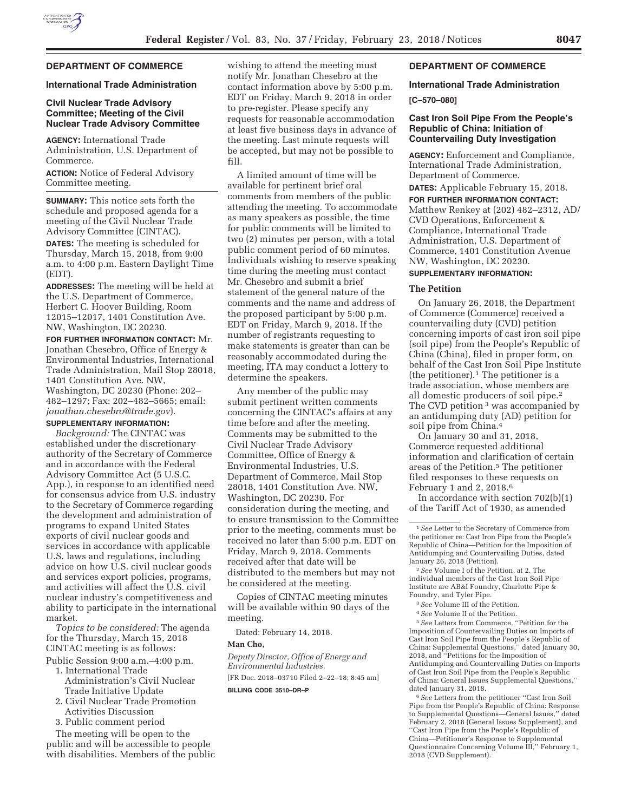

# **DEPARTMENT OF COMMERCE**

#### **International Trade Administration**

# **Civil Nuclear Trade Advisory Committee; Meeting of the Civil Nuclear Trade Advisory Committee**

**AGENCY:** International Trade Administration, U.S. Department of Commerce.

**ACTION:** Notice of Federal Advisory Committee meeting.

**SUMMARY:** This notice sets forth the schedule and proposed agenda for a meeting of the Civil Nuclear Trade Advisory Committee (CINTAC).

**DATES:** The meeting is scheduled for Thursday, March 15, 2018, from 9:00 a.m. to 4:00 p.m. Eastern Daylight Time (EDT).

**ADDRESSES:** The meeting will be held at the U.S. Department of Commerce, Herbert C. Hoover Building, Room 12015–12017, 1401 Constitution Ave. NW, Washington, DC 20230.

**FOR FURTHER INFORMATION CONTACT:** Mr. Jonathan Chesebro, Office of Energy & Environmental Industries, International Trade Administration, Mail Stop 28018, 1401 Constitution Ave. NW, Washington, DC 20230 (Phone: 202– 482–1297; Fax: 202–482–5665; email: *jonathan.chesebro@trade.gov*).

# **SUPPLEMENTARY INFORMATION:**

*Background:* The CINTAC was established under the discretionary authority of the Secretary of Commerce and in accordance with the Federal Advisory Committee Act (5 U.S.C. App.), in response to an identified need for consensus advice from U.S. industry to the Secretary of Commerce regarding the development and administration of programs to expand United States exports of civil nuclear goods and services in accordance with applicable U.S. laws and regulations, including advice on how U.S. civil nuclear goods and services export policies, programs, and activities will affect the U.S. civil nuclear industry's competitiveness and ability to participate in the international market.

*Topics to be considered:* The agenda for the Thursday, March 15, 2018 CINTAC meeting is as follows:

- Public Session 9:00 a.m.–4:00 p.m. 1. International Trade
	- Administration's Civil Nuclear Trade Initiative Update
	- 2. Civil Nuclear Trade Promotion Activities Discussion
	- 3. Public comment period

The meeting will be open to the public and will be accessible to people with disabilities. Members of the public wishing to attend the meeting must notify Mr. Jonathan Chesebro at the contact information above by 5:00 p.m. EDT on Friday, March 9, 2018 in order to pre-register. Please specify any requests for reasonable accommodation at least five business days in advance of the meeting. Last minute requests will be accepted, but may not be possible to fill.

A limited amount of time will be available for pertinent brief oral comments from members of the public attending the meeting. To accommodate as many speakers as possible, the time for public comments will be limited to two (2) minutes per person, with a total public comment period of 60 minutes. Individuals wishing to reserve speaking time during the meeting must contact Mr. Chesebro and submit a brief statement of the general nature of the comments and the name and address of the proposed participant by 5:00 p.m. EDT on Friday, March 9, 2018. If the number of registrants requesting to make statements is greater than can be reasonably accommodated during the meeting, ITA may conduct a lottery to determine the speakers.

Any member of the public may submit pertinent written comments concerning the CINTAC's affairs at any time before and after the meeting. Comments may be submitted to the Civil Nuclear Trade Advisory Committee, Office of Energy & Environmental Industries, U.S. Department of Commerce, Mail Stop 28018, 1401 Constitution Ave. NW, Washington, DC 20230. For consideration during the meeting, and to ensure transmission to the Committee prior to the meeting, comments must be received no later than 5:00 p.m. EDT on Friday, March 9, 2018. Comments received after that date will be distributed to the members but may not be considered at the meeting.

Copies of CINTAC meeting minutes will be available within 90 days of the meeting.

Dated: February 14, 2018.

#### **Man Cho,**

*Deputy Director, Office of Energy and Environmental Industries.*  [FR Doc. 2018–03710 Filed 2–22–18; 8:45 am]

**BILLING CODE 3510–DR–P** 

# **DEPARTMENT OF COMMERCE**

# **International Trade Administration [C–570–080]**

# **Cast Iron Soil Pipe From the People's Republic of China: Initiation of Countervailing Duty Investigation**

**AGENCY:** Enforcement and Compliance, International Trade Administration, Department of Commerce.

**DATES:** Applicable February 15, 2018.

**FOR FURTHER INFORMATION CONTACT:**  Matthew Renkey at (202) 482–2312, AD/ CVD Operations, Enforcement & Compliance, International Trade Administration, U.S. Department of Commerce, 1401 Constitution Avenue NW, Washington, DC 20230.

# **SUPPLEMENTARY INFORMATION:**

#### **The Petition**

On January 26, 2018, the Department of Commerce (Commerce) received a countervailing duty (CVD) petition concerning imports of cast iron soil pipe (soil pipe) from the People's Republic of China (China), filed in proper form, on behalf of the Cast Iron Soil Pipe Institute (the petitioner).1 The petitioner is a trade association, whose members are all domestic producers of soil pipe.2 The CVD petition<sup>3</sup> was accompanied by an antidumping duty (AD) petition for soil pipe from China.4

On January 30 and 31, 2018, Commerce requested additional information and clarification of certain areas of the Petition.5 The petitioner filed responses to these requests on February 1 and 2, 2018.6

In accordance with section  $702(b)(1)$ of the Tariff Act of 1930, as amended

2*See* Volume I of the Petition, at 2. The individual members of the Cast Iron Soil Pipe Institute are AB&I Foundry, Charlotte Pipe & Foundry, and Tyler Pipe.

3*See* Volume III of the Petition.

4*See* Volume II of the Petition.

5*See* Letters from Commerce, ''Petition for the Imposition of Countervailing Duties on Imports of Cast Iron Soil Pipe from the People's Republic of China: Supplemental Questions,'' dated January 30, 2018, and ''Petitions for the Imposition of Antidumping and Countervailing Duties on Imports of Cast Iron Soil Pipe from the People's Republic of China: General Issues Supplemental Questions,'' dated January 31, 2018.

6*See* Letters from the petitioner ''Cast Iron Soil Pipe from the People's Republic of China: Response to Supplemental Questions—General Issues,'' dated February 2, 2018 (General Issues Supplement), and ''Cast Iron Pipe from the People's Republic of China—Petitioner's Response to Supplemental Questionnaire Concerning Volume III,'' February 1, 2018 (CVD Supplement).

<sup>1</sup>*See* Letter to the Secretary of Commerce from the petitioner re: Cast Iron Pipe from the People's Republic of China—Petition for the Imposition of Antidumping and Countervailing Duties, dated January 26, 2018 (Petition).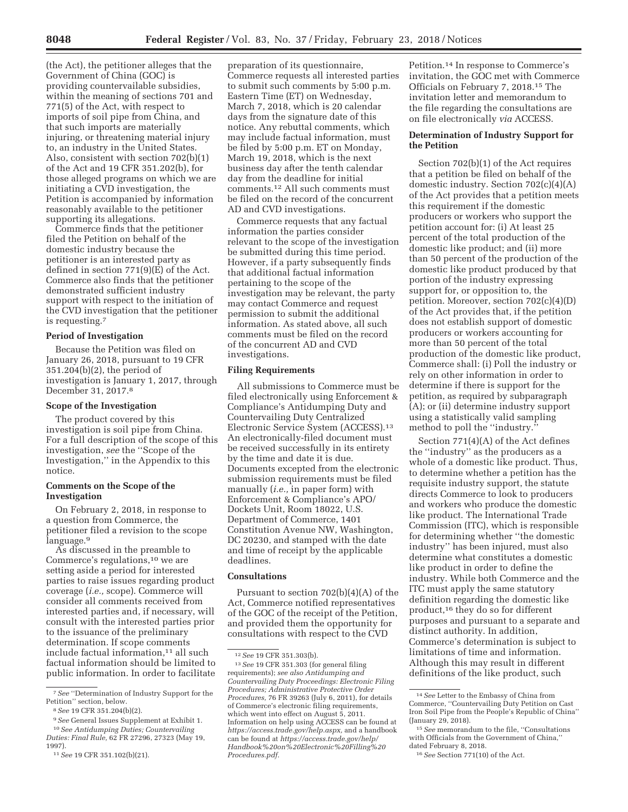(the Act), the petitioner alleges that the Government of China (GOC) is providing countervailable subsidies, within the meaning of sections 701 and 771(5) of the Act, with respect to imports of soil pipe from China, and that such imports are materially injuring, or threatening material injury to, an industry in the United States. Also, consistent with section 702(b)(1) of the Act and 19 CFR 351.202(b), for those alleged programs on which we are initiating a CVD investigation, the Petition is accompanied by information reasonably available to the petitioner supporting its allegations.

Commerce finds that the petitioner filed the Petition on behalf of the domestic industry because the petitioner is an interested party as defined in section 771(9)(E) of the Act. Commerce also finds that the petitioner demonstrated sufficient industry support with respect to the initiation of the CVD investigation that the petitioner is requesting.7

# **Period of Investigation**

Because the Petition was filed on January 26, 2018, pursuant to 19 CFR 351.204(b)(2), the period of investigation is January 1, 2017, through December 31, 2017.8

## **Scope of the Investigation**

The product covered by this investigation is soil pipe from China. For a full description of the scope of this investigation, *see* the ''Scope of the Investigation,'' in the Appendix to this notice.

# **Comments on the Scope of the Investigation**

On February 2, 2018, in response to a question from Commerce, the petitioner filed a revision to the scope language.9

As discussed in the preamble to Commerce's regulations,10 we are setting aside a period for interested parties to raise issues regarding product coverage (*i.e.,* scope). Commerce will consider all comments received from interested parties and, if necessary, will consult with the interested parties prior to the issuance of the preliminary determination. If scope comments include factual information,<sup>11</sup> all such factual information should be limited to public information. In order to facilitate

preparation of its questionnaire, Commerce requests all interested parties to submit such comments by 5:00 p.m. Eastern Time (ET) on Wednesday, March 7, 2018, which is 20 calendar days from the signature date of this notice. Any rebuttal comments, which may include factual information, must be filed by 5:00 p.m. ET on Monday, March 19, 2018, which is the next business day after the tenth calendar day from the deadline for initial comments.12 All such comments must be filed on the record of the concurrent AD and CVD investigations.

Commerce requests that any factual information the parties consider relevant to the scope of the investigation be submitted during this time period. However, if a party subsequently finds that additional factual information pertaining to the scope of the investigation may be relevant, the party may contact Commerce and request permission to submit the additional information. As stated above, all such comments must be filed on the record of the concurrent AD and CVD investigations.

# **Filing Requirements**

All submissions to Commerce must be filed electronically using Enforcement & Compliance's Antidumping Duty and Countervailing Duty Centralized Electronic Service System (ACCESS).13 An electronically-filed document must be received successfully in its entirety by the time and date it is due. Documents excepted from the electronic submission requirements must be filed manually (*i.e.,* in paper form) with Enforcement & Compliance's APO/ Dockets Unit, Room 18022, U.S. Department of Commerce, 1401 Constitution Avenue NW, Washington, DC 20230, and stamped with the date and time of receipt by the applicable deadlines.

# **Consultations**

Pursuant to section 702(b)(4)(A) of the Act, Commerce notified representatives of the GOC of the receipt of the Petition, and provided them the opportunity for consultations with respect to the CVD

Petition.14 In response to Commerce's invitation, the GOC met with Commerce Officials on February 7, 2018.15 The invitation letter and memorandum to the file regarding the consultations are on file electronically *via* ACCESS.

# **Determination of Industry Support for the Petition**

Section 702(b)(1) of the Act requires that a petition be filed on behalf of the domestic industry. Section 702(c)(4)(A) of the Act provides that a petition meets this requirement if the domestic producers or workers who support the petition account for: (i) At least 25 percent of the total production of the domestic like product; and (ii) more than 50 percent of the production of the domestic like product produced by that portion of the industry expressing support for, or opposition to, the petition. Moreover, section 702(c)(4)(D) of the Act provides that, if the petition does not establish support of domestic producers or workers accounting for more than 50 percent of the total production of the domestic like product, Commerce shall: (i) Poll the industry or rely on other information in order to determine if there is support for the petition, as required by subparagraph (A); or (ii) determine industry support using a statistically valid sampling method to poll the ''industry.''

Section 771(4)(A) of the Act defines the ''industry'' as the producers as a whole of a domestic like product. Thus, to determine whether a petition has the requisite industry support, the statute directs Commerce to look to producers and workers who produce the domestic like product. The International Trade Commission (ITC), which is responsible for determining whether ''the domestic industry'' has been injured, must also determine what constitutes a domestic like product in order to define the industry. While both Commerce and the ITC must apply the same statutory definition regarding the domestic like product,16 they do so for different purposes and pursuant to a separate and distinct authority. In addition, Commerce's determination is subject to limitations of time and information. Although this may result in different definitions of the like product, such

<sup>7</sup>*See* ''Determination of Industry Support for the Petition'' section, below.

<sup>8</sup>*See* 19 CFR 351.204(b)(2).

<sup>9</sup>*See* General Issues Supplement at Exhibit 1.

<sup>10</sup>*See Antidumping Duties; Countervailing Duties: Final Rule,* 62 FR 27296, 27323 (May 19, 1997).

<sup>11</sup>*See* 19 CFR 351.102(b)(21).

<sup>12</sup>*See* 19 CFR 351.303(b).

<sup>13</sup>*See* 19 CFR 351.303 (for general filing requirements); *see also Antidumping and Countervailing Duty Proceedings: Electronic Filing Procedures; Administrative Protective Order Procedures,* 76 FR 39263 (July 6, 2011), for details of Commerce's electronic filing requirements, which went into effect on August 5, 2011. Information on help using ACCESS can be found at *https://access.trade.gov/help.aspx,* and a handbook can be found at *https://access.trade.gov/help/ Handbook%20on%20Electronic%20Filling%20 Procedures.pdf.* 

<sup>14</sup>*See* Letter to the Embassy of China from Commerce, ''Countervailing Duty Petition on Cast Iron Soil Pipe from the People's Republic of China'' (January 29, 2018).

<sup>15</sup>*See* memorandum to the file, ''Consultations with Officials from the Government of China,'' dated February 8, 2018.

<sup>16</sup>*See* Section 771(10) of the Act.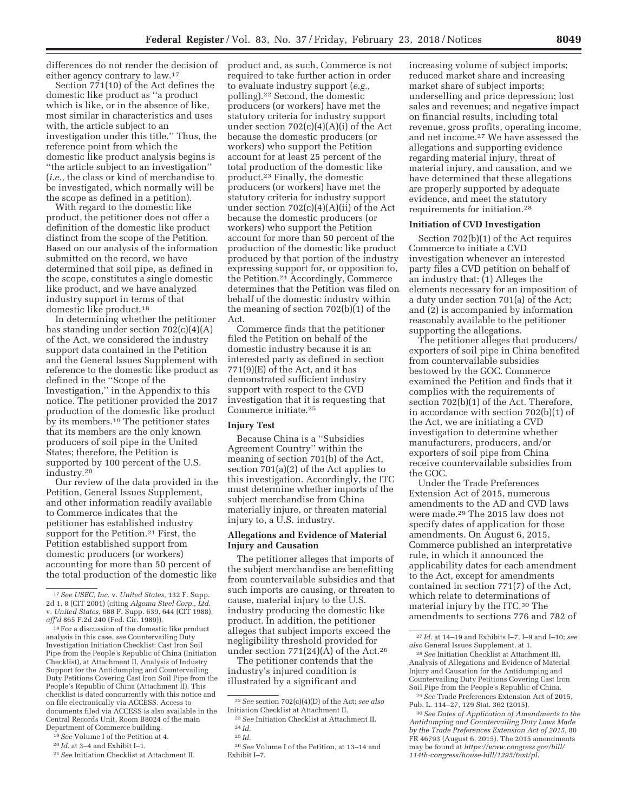differences do not render the decision of either agency contrary to law.17

Section 771(10) of the Act defines the domestic like product as ''a product which is like, or in the absence of like, most similar in characteristics and uses with, the article subject to an investigation under this title.'' Thus, the reference point from which the domestic like product analysis begins is ''the article subject to an investigation'' (*i.e.,* the class or kind of merchandise to be investigated, which normally will be the scope as defined in a petition).

With regard to the domestic like product, the petitioner does not offer a definition of the domestic like product distinct from the scope of the Petition. Based on our analysis of the information submitted on the record, we have determined that soil pipe, as defined in the scope, constitutes a single domestic like product, and we have analyzed industry support in terms of that domestic like product.18

In determining whether the petitioner has standing under section 702(c)(4)(A) of the Act, we considered the industry support data contained in the Petition and the General Issues Supplement with reference to the domestic like product as defined in the ''Scope of the Investigation,'' in the Appendix to this notice. The petitioner provided the 2017 production of the domestic like product by its members.19 The petitioner states that its members are the only known producers of soil pipe in the United States; therefore, the Petition is supported by 100 percent of the U.S. industry.20

Our review of the data provided in the Petition, General Issues Supplement, and other information readily available to Commerce indicates that the petitioner has established industry support for the Petition.<sup>21</sup> First, the Petition established support from domestic producers (or workers) accounting for more than 50 percent of the total production of the domestic like

product and, as such, Commerce is not required to take further action in order to evaluate industry support (*e.g.,*  polling).22 Second, the domestic producers (or workers) have met the statutory criteria for industry support under section  $702(c)(4)(A)(i)$  of the Act because the domestic producers (or workers) who support the Petition account for at least 25 percent of the total production of the domestic like product.23 Finally, the domestic producers (or workers) have met the statutory criteria for industry support under section 702(c)(4)(A)(ii) of the Act because the domestic producers (or workers) who support the Petition account for more than 50 percent of the production of the domestic like product produced by that portion of the industry expressing support for, or opposition to, the Petition.24 Accordingly, Commerce determines that the Petition was filed on behalf of the domestic industry within the meaning of section 702(b)(1) of the Act.

Commerce finds that the petitioner filed the Petition on behalf of the domestic industry because it is an interested party as defined in section  $771(9)$ (E) of the Act, and it has demonstrated sufficient industry support with respect to the CVD investigation that it is requesting that Commerce initiate.25

## **Injury Test**

Because China is a ''Subsidies Agreement Country'' within the meaning of section 701(b) of the Act, section 701(a)(2) of the Act applies to this investigation. Accordingly, the ITC must determine whether imports of the subject merchandise from China materially injure, or threaten material injury to, a U.S. industry.

## **Allegations and Evidence of Material Injury and Causation**

The petitioner alleges that imports of the subject merchandise are benefitting from countervailable subsidies and that such imports are causing, or threaten to cause, material injury to the U.S. industry producing the domestic like product. In addition, the petitioner alleges that subject imports exceed the negligibility threshold provided for under section  $771(24)(A)$  of the Act.<sup>26</sup>

The petitioner contends that the industry's injured condition is illustrated by a significant and

22*See* section 702(c)(4)(D) of the Act; *see also*  Initiation Checklist at Attachment II.

increasing volume of subject imports; reduced market share and increasing market share of subject imports; underselling and price depression; lost sales and revenues; and negative impact on financial results, including total revenue, gross profits, operating income, and net income.27 We have assessed the allegations and supporting evidence regarding material injury, threat of material injury, and causation, and we have determined that these allegations are properly supported by adequate evidence, and meet the statutory requirements for initiation.28

#### **Initiation of CVD Investigation**

Section 702(b)(1) of the Act requires Commerce to initiate a CVD investigation whenever an interested party files a CVD petition on behalf of an industry that: (1) Alleges the elements necessary for an imposition of a duty under section 701(a) of the Act; and (2) is accompanied by information reasonably available to the petitioner supporting the allegations.

The petitioner alleges that producers/ exporters of soil pipe in China benefited from countervailable subsidies bestowed by the GOC. Commerce examined the Petition and finds that it complies with the requirements of section 702(b)(1) of the Act. Therefore, in accordance with section 702(b)(1) of the Act, we are initiating a CVD investigation to determine whether manufacturers, producers, and/or exporters of soil pipe from China receive countervailable subsidies from the GOC.

Under the Trade Preferences Extension Act of 2015, numerous amendments to the AD and CVD laws were made.29 The 2015 law does not specify dates of application for those amendments. On August 6, 2015, Commerce published an interpretative rule, in which it announced the applicability dates for each amendment to the Act, except for amendments contained in section 771(7) of the Act, which relate to determinations of material injury by the ITC.30 The amendments to sections 776 and 782 of

29*See* Trade Preferences Extension Act of 2015, Pub. L. 114–27, 129 Stat. 362 (2015).

<sup>17</sup>*See USEC, Inc.* v. *United States,* 132 F. Supp. 2d 1, 8 (CIT 2001) (citing *Algoma Steel Corp., Ltd.*  v. *United States,* 688 F. Supp. 639, 644 (CIT 1988), *aff'd* 865 F.2d 240 (Fed. Cir. 1989)).

<sup>18</sup>For a discussion of the domestic like product analysis in this case, *see* Countervailing Duty Investigation Initiation Checklist: Cast Iron Soil Pipe from the People's Republic of China (Initiation Checklist), at Attachment II, Analysis of Industry Support for the Antidumping and Countervailing Duty Petitions Covering Cast Iron Soil Pipe from the People's Republic of China (Attachment II). This checklist is dated concurrently with this notice and on file electronically via ACCESS. Access to documents filed via ACCESS is also available in the Central Records Unit, Room B8024 of the main Department of Commerce building.

<sup>19</sup>*See* Volume I of the Petition at 4.

<sup>20</sup> *Id.* at 3–4 and Exhibit I–1.

<sup>21</sup>*See* Initiation Checklist at Attachment II.

<sup>23</sup>*See* Initiation Checklist at Attachment II. 24 *Id.*  25 *Id.* 

<sup>26</sup>*See* Volume I of the Petition, at 13–14 and Exhibit I–7.

<sup>27</sup> *Id.* at 14–19 and Exhibits I–7, I–9 and I–10; *see also* General Issues Supplement, at 1.

<sup>28</sup>*See* Initiation Checklist at Attachment III, Analysis of Allegations and Evidence of Material Injury and Causation for the Antidumping and Countervailing Duty Petitions Covering Cast Iron Soil Pipe from the People's Republic of China.

<sup>30</sup>*See Dates of Application of Amendments to the Antidumping and Countervailing Duty Laws Made by the Trade Preferences Extension Act of 2015,* 80 FR 46793 (August 6, 2015). The 2015 amendments may be found at *https://www.congress.gov/bill/ 114th-congress/house-bill/1295/text/pl.*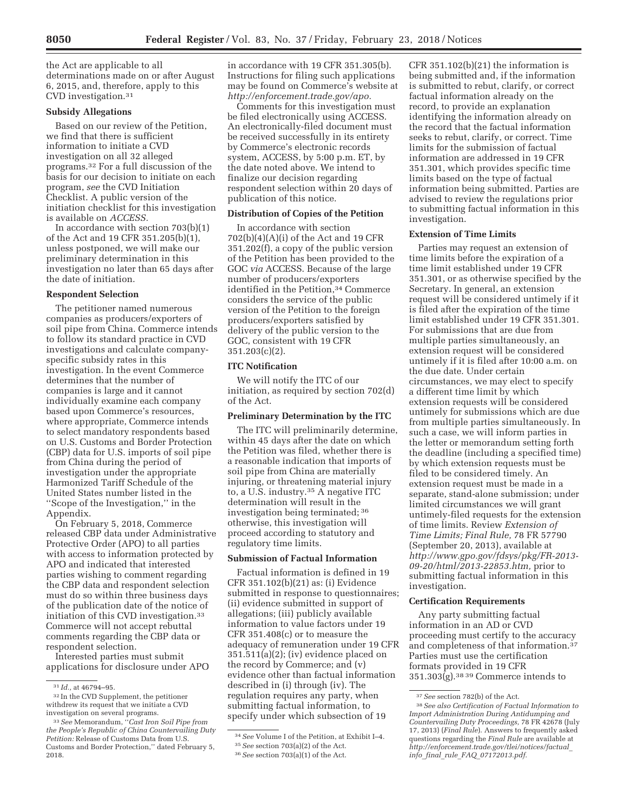the Act are applicable to all determinations made on or after August 6, 2015, and, therefore, apply to this CVD investigation.31

# **Subsidy Allegations**

Based on our review of the Petition, we find that there is sufficient information to initiate a CVD investigation on all 32 alleged programs.32 For a full discussion of the basis for our decision to initiate on each program, *see* the CVD Initiation Checklist. A public version of the initiation checklist for this investigation is available on *ACCESS.* 

In accordance with section 703(b)(1) of the Act and 19 CFR 351.205(b)(1), unless postponed, we will make our preliminary determination in this investigation no later than 65 days after the date of initiation.

#### **Respondent Selection**

The petitioner named numerous companies as producers/exporters of soil pipe from China. Commerce intends to follow its standard practice in CVD investigations and calculate companyspecific subsidy rates in this investigation. In the event Commerce determines that the number of companies is large and it cannot individually examine each company based upon Commerce's resources, where appropriate, Commerce intends to select mandatory respondents based on U.S. Customs and Border Protection (CBP) data for U.S. imports of soil pipe from China during the period of investigation under the appropriate Harmonized Tariff Schedule of the United States number listed in the ''Scope of the Investigation,'' in the Appendix.

On February 5, 2018, Commerce released CBP data under Administrative Protective Order (APO) to all parties with access to information protected by APO and indicated that interested parties wishing to comment regarding the CBP data and respondent selection must do so within three business days of the publication date of the notice of initiation of this CVD investigation.33 Commerce will not accept rebuttal comments regarding the CBP data or respondent selection.

Interested parties must submit applications for disclosure under APO in accordance with 19 CFR 351.305(b). Instructions for filing such applications may be found on Commerce's website at *http://enforcement.trade.gov/apo.* 

Comments for this investigation must be filed electronically using ACCESS. An electronically-filed document must be received successfully in its entirety by Commerce's electronic records system, ACCESS, by 5:00 p.m. ET, by the date noted above. We intend to finalize our decision regarding respondent selection within 20 days of publication of this notice.

## **Distribution of Copies of the Petition**

In accordance with section 702(b)(4)(A)(i) of the Act and 19 CFR 351.202(f), a copy of the public version of the Petition has been provided to the GOC *via* ACCESS. Because of the large number of producers/exporters identified in the Petition,<sup>34</sup> Commerce considers the service of the public version of the Petition to the foreign producers/exporters satisfied by delivery of the public version to the GOC, consistent with 19 CFR 351.203(c)(2).

## **ITC Notification**

We will notify the ITC of our initiation, as required by section 702(d) of the Act.

## **Preliminary Determination by the ITC**

The ITC will preliminarily determine, within 45 days after the date on which the Petition was filed, whether there is a reasonable indication that imports of soil pipe from China are materially injuring, or threatening material injury to, a U.S. industry.35 A negative ITC determination will result in the investigation being terminated; 36 otherwise, this investigation will proceed according to statutory and regulatory time limits.

# **Submission of Factual Information**

Factual information is defined in 19 CFR 351.102(b)(21) as: (i) Evidence submitted in response to questionnaires; (ii) evidence submitted in support of allegations; (iii) publicly available information to value factors under 19 CFR 351.408(c) or to measure the adequacy of remuneration under 19 CFR 351.511(a)(2); (iv) evidence placed on the record by Commerce; and (v) evidence other than factual information described in (i) through (iv). The regulation requires any party, when submitting factual information, to specify under which subsection of 19

CFR 351.102(b)(21) the information is being submitted and, if the information is submitted to rebut, clarify, or correct factual information already on the record, to provide an explanation identifying the information already on the record that the factual information seeks to rebut, clarify, or correct. Time limits for the submission of factual information are addressed in 19 CFR 351.301, which provides specific time limits based on the type of factual information being submitted. Parties are advised to review the regulations prior to submitting factual information in this investigation.

#### **Extension of Time Limits**

Parties may request an extension of time limits before the expiration of a time limit established under 19 CFR 351.301, or as otherwise specified by the Secretary. In general, an extension request will be considered untimely if it is filed after the expiration of the time limit established under 19 CFR 351.301. For submissions that are due from multiple parties simultaneously, an extension request will be considered untimely if it is filed after 10:00 a.m. on the due date. Under certain circumstances, we may elect to specify a different time limit by which extension requests will be considered untimely for submissions which are due from multiple parties simultaneously. In such a case, we will inform parties in the letter or memorandum setting forth the deadline (including a specified time) by which extension requests must be filed to be considered timely. An extension request must be made in a separate, stand-alone submission; under limited circumstances we will grant untimely-filed requests for the extension of time limits. Review *Extension of Time Limits; Final Rule,* 78 FR 57790 (September 20, 2013), available at *http://www.gpo.gov/fdsys/pkg/FR-2013- 09-20/html/2013-22853.htm,* prior to submitting factual information in this investigation.

## **Certification Requirements**

Any party submitting factual information in an AD or CVD proceeding must certify to the accuracy and completeness of that information.37 Parties must use the certification formats provided in 19 CFR  $351.303(g).$ <sup>38 39</sup> Commerce intends to

<sup>31</sup> *Id.,* at 46794–95.

<sup>32</sup> In the CVD Supplement, the petitioner withdrew its request that we initiate a CVD investigation on several programs.

<sup>33</sup>*See* Memorandum, ''*Cast Iron Soil Pipe from the People's Republic of China Countervailing Duty Petition:* Release of Customs Data from U.S. Customs and Border Protection,'' dated February 5, 2018.

<sup>34</sup>*See* Volume I of the Petition, at Exhibit I–4.

<sup>35</sup>*See* section 703(a)(2) of the Act.

<sup>36</sup>*See* section 703(a)(1) of the Act.

<sup>37</sup>*See* section 782(b) of the Act.

<sup>38</sup>*See also Certification of Factual Information to Import Administration During Antidumping and Countervailing Duty Proceedings,* 78 FR 42678 (July 17, 2013) (*Final Rule*). Answers to frequently asked questions regarding the *Final Rule* are available at *http://enforcement.trade.gov/tlei/notices/factual*\_ *info*\_*final*\_*rule*\_*FAQ*\_*07172013.pdf.*